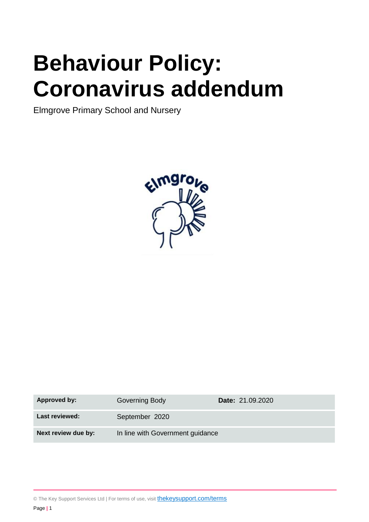# **Behaviour Policy: Coronavirus addendum**

Elmgrove Primary School and Nursery



| <b>Approved by:</b> | Governing Body                   | Date: 21.09.2020 |
|---------------------|----------------------------------|------------------|
| Last reviewed:      | September 2020                   |                  |
| Next review due by: | In line with Government guidance |                  |

© The Key Support Services Ltd | For terms of use, visit **[thekeysupport.com/terms](https://thekeysupport.com/terms-of-use)**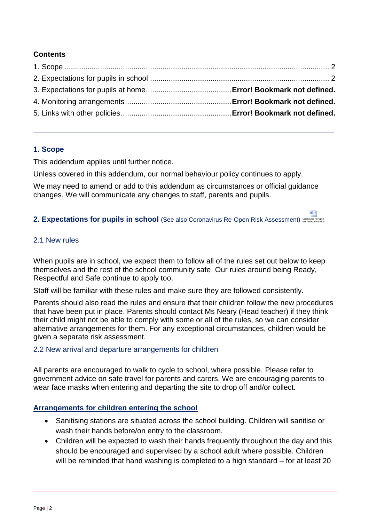#### **Contents**

#### <span id="page-1-0"></span>**1. Scope**

This addendum applies until further notice.

Unless covered in this addendum, our normal behaviour policy continues to apply.

We may need to amend or add to this addendum as circumstances or official guidance changes. We will communicate any changes to staff, parents and pupils.

#### <span id="page-1-1"></span>2. Expectations for pupils in school (See also Coronavirus Re-Open Risk Assessment) Coronavirus Re-open

#### 2.1 New rules

When pupils are in school, we expect them to follow all of the rules set out below to keep themselves and the rest of the school community safe. Our rules around being Ready, Respectful and Safe continue to apply too.

Staff will be familiar with these rules and make sure they are followed consistently.

Parents should also read the rules and ensure that their children follow the new procedures that have been put in place. Parents should contact Ms Neary (Head teacher) if they think their child might not be able to comply with some or all of the rules, so we can consider alternative arrangements for them. For any exceptional circumstances, children would be given a separate risk assessment.

#### 2.2 New arrival and departure arrangements for children

All parents are encouraged to walk to cycle to school, where possible. Please refer to government advice on safe travel for parents and carers. We are encouraging parents to wear face masks when entering and departing the site to drop off and/or collect.

#### **Arrangements for children entering the school**

- Sanitising stations are situated across the school building. Children will sanitise or wash their hands before/on entry to the classroom.
- Children will be expected to wash their hands frequently throughout the day and this should be encouraged and supervised by a school adult where possible. Children will be reminded that hand washing is completed to a high standard – for at least 20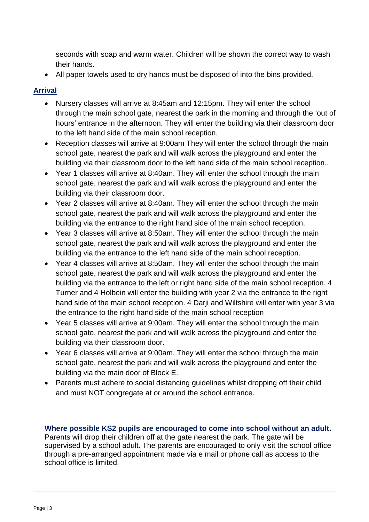seconds with soap and warm water. Children will be shown the correct way to wash their hands.

All paper towels used to dry hands must be disposed of into the bins provided.

# **Arrival**

- Nursery classes will arrive at 8:45am and 12:15pm. They will enter the school through the main school gate, nearest the park in the morning and through the 'out of hours' entrance in the afternoon. They will enter the building via their classroom door to the left hand side of the main school reception.
- Reception classes will arrive at 9:00am They will enter the school through the main school gate, nearest the park and will walk across the playground and enter the building via their classroom door to the left hand side of the main school reception..
- Year 1 classes will arrive at 8:40am. They will enter the school through the main school gate, nearest the park and will walk across the playground and enter the building via their classroom door.
- Year 2 classes will arrive at 8:40am. They will enter the school through the main school gate, nearest the park and will walk across the playground and enter the building via the entrance to the right hand side of the main school reception.
- Year 3 classes will arrive at 8:50am. They will enter the school through the main school gate, nearest the park and will walk across the playground and enter the building via the entrance to the left hand side of the main school reception.
- Year 4 classes will arrive at 8:50am. They will enter the school through the main school gate, nearest the park and will walk across the playground and enter the building via the entrance to the left or right hand side of the main school reception. 4 Turner and 4 Holbein will enter the building with year 2 via the entrance to the right hand side of the main school reception. 4 Darji and Wiltshire will enter with year 3 via the entrance to the right hand side of the main school reception
- Year 5 classes will arrive at 9:00am. They will enter the school through the main school gate, nearest the park and will walk across the playground and enter the building via their classroom door.
- Year 6 classes will arrive at 9:00am. They will enter the school through the main school gate, nearest the park and will walk across the playground and enter the building via the main door of Block E.
- Parents must adhere to social distancing guidelines whilst dropping off their child and must NOT congregate at or around the school entrance.

#### **Where possible KS2 pupils are encouraged to come into school without an adult.** Parents will drop their children off at the gate nearest the park. The gate will be supervised by a school adult. The parents are encouraged to only visit the school office through a pre-arranged appointment made via e mail or phone call as access to the school office is limited.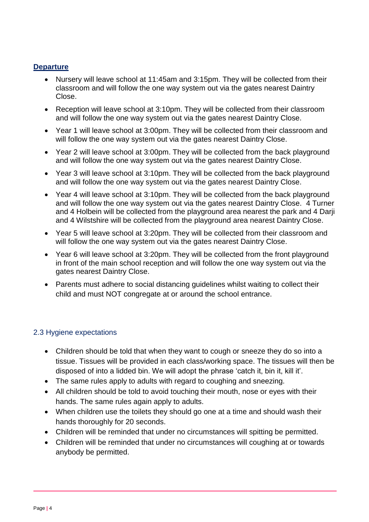# **Departure**

- Nursery will leave school at 11:45am and 3:15pm. They will be collected from their classroom and will follow the one way system out via the gates nearest Daintry Close.
- Reception will leave school at 3:10pm. They will be collected from their classroom and will follow the one way system out via the gates nearest Daintry Close.
- Year 1 will leave school at 3:00pm. They will be collected from their classroom and will follow the one way system out via the gates nearest Daintry Close.
- Year 2 will leave school at 3:00pm. They will be collected from the back playground and will follow the one way system out via the gates nearest Daintry Close.
- Year 3 will leave school at 3:10pm. They will be collected from the back playground and will follow the one way system out via the gates nearest Daintry Close.
- Year 4 will leave school at 3:10pm. They will be collected from the back playground and will follow the one way system out via the gates nearest Daintry Close. 4 Turner and 4 Holbein will be collected from the playground area nearest the park and 4 Darji and 4 Wilstshire will be collected from the playground area nearest Daintry Close.
- Year 5 will leave school at 3:20pm. They will be collected from their classroom and will follow the one way system out via the gates nearest Daintry Close.
- Year 6 will leave school at 3:20pm. They will be collected from the front playground in front of the main school reception and will follow the one way system out via the gates nearest Daintry Close.
- Parents must adhere to social distancing guidelines whilst waiting to collect their child and must NOT congregate at or around the school entrance.

# 2.3 Hygiene expectations

- Children should be told that when they want to cough or sneeze they do so into a tissue. Tissues will be provided in each class/working space. The tissues will then be disposed of into a lidded bin. We will adopt the phrase 'catch it, bin it, kill it'.
- The same rules apply to adults with regard to coughing and sneezing.
- All children should be told to avoid touching their mouth, nose or eyes with their hands. The same rules again apply to adults.
- When children use the toilets they should go one at a time and should wash their hands thoroughly for 20 seconds.
- Children will be reminded that under no circumstances will spitting be permitted.
- Children will be reminded that under no circumstances will coughing at or towards anybody be permitted.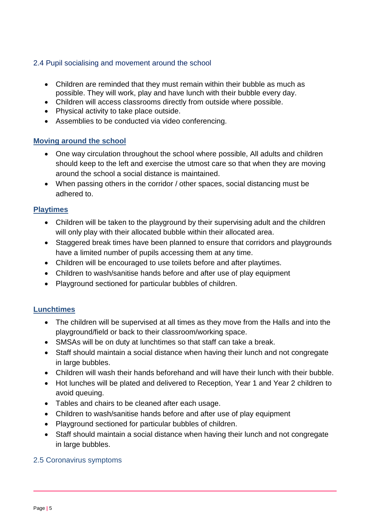# 2.4 Pupil socialising and movement around the school

- Children are reminded that they must remain within their bubble as much as possible. They will work, play and have lunch with their bubble every day.
- Children will access classrooms directly from outside where possible.
- Physical activity to take place outside.
- Assemblies to be conducted via video conferencing.

# **Moving around the school**

- One way circulation throughout the school where possible, All adults and children should keep to the left and exercise the utmost care so that when they are moving around the school a social distance is maintained.
- When passing others in the corridor / other spaces, social distancing must be adhered to.

# **Playtimes**

- Children will be taken to the playground by their supervising adult and the children will only play with their allocated bubble within their allocated area.
- Staggered break times have been planned to ensure that corridors and playgrounds have a limited number of pupils accessing them at any time.
- Children will be encouraged to use toilets before and after playtimes.
- Children to wash/sanitise hands before and after use of play equipment
- Playground sectioned for particular bubbles of children.

# **Lunchtimes**

- The children will be supervised at all times as they move from the Halls and into the playground/field or back to their classroom/working space.
- SMSAs will be on duty at lunchtimes so that staff can take a break.
- Staff should maintain a social distance when having their lunch and not congregate in large bubbles.
- Children will wash their hands beforehand and will have their lunch with their bubble.
- Hot lunches will be plated and delivered to Reception, Year 1 and Year 2 children to avoid queuing.
- Tables and chairs to be cleaned after each usage.
- Children to wash/sanitise hands before and after use of play equipment
- Playground sectioned for particular bubbles of children.
- Staff should maintain a social distance when having their lunch and not congregate in large bubbles.

# 2.5 Coronavirus symptoms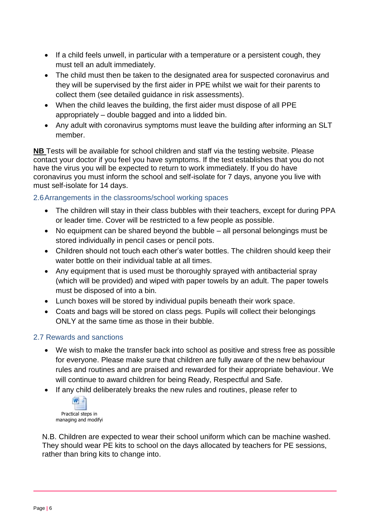- If a child feels unwell, in particular with a temperature or a persistent cough, they must tell an adult immediately.
- The child must then be taken to the designated area for suspected coronavirus and they will be supervised by the first aider in PPE whilst we wait for their parents to collect them (see detailed guidance in risk assessments).
- When the child leaves the building, the first aider must dispose of all PPE appropriately – double bagged and into a lidded bin.
- Any adult with coronavirus symptoms must leave the building after informing an SLT member.

**NB** Tests will be available for school children and staff via the testing website. Please contact your doctor if you feel you have symptoms. If the test establishes that you do not have the virus you will be expected to return to work immediately. If you do have coronavirus you must inform the school and self-isolate for 7 days, anyone you live with must self-isolate for 14 days.

# 2.6Arrangements in the classrooms/school working spaces

- The children will stay in their class bubbles with their teachers, except for during PPA or leader time. Cover will be restricted to a few people as possible.
- No equipment can be shared beyond the bubble all personal belongings must be stored individually in pencil cases or pencil pots.
- Children should not touch each other's water bottles. The children should keep their water bottle on their individual table at all times.
- Any equipment that is used must be thoroughly sprayed with antibacterial spray (which will be provided) and wiped with paper towels by an adult. The paper towels must be disposed of into a bin.
- Lunch boxes will be stored by individual pupils beneath their work space.
- Coats and bags will be stored on class pegs. Pupils will collect their belongings ONLY at the same time as those in their bubble.

# 2.7 Rewards and sanctions

- We wish to make the transfer back into school as positive and stress free as possible for everyone. Please make sure that children are fully aware of the new behaviour rules and routines and are praised and rewarded for their appropriate behaviour. We will continue to award children for being Ready, Respectful and Safe.
- If any child deliberately breaks the new rules and routines, please refer to



N.B. Children are expected to wear their school uniform which can be machine washed. They should wear PE kits to school on the days allocated by teachers for PE sessions, rather than bring kits to change into.